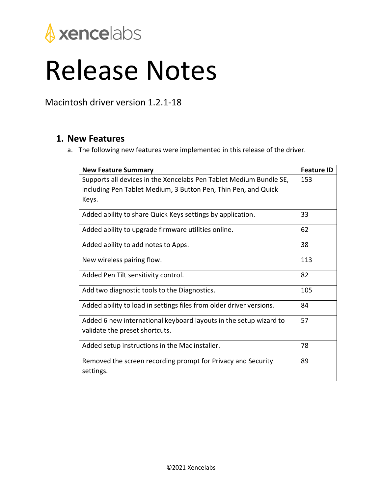

## Release Notes

Macintosh driver version 1.2.1-18

## **1. New Features**

a. The following new features were implemented in this release of the driver.

| <b>New Feature Summary</b>                                                | <b>Feature ID</b> |
|---------------------------------------------------------------------------|-------------------|
| Supports all devices in the Xencelabs Pen Tablet Medium Bundle SE,        | 153               |
| including Pen Tablet Medium, 3 Button Pen, Thin Pen, and Quick            |                   |
| Keys.                                                                     |                   |
| Added ability to share Quick Keys settings by application.                | 33                |
| Added ability to upgrade firmware utilities online.                       | 62                |
| Added ability to add notes to Apps.                                       | 38                |
| New wireless pairing flow.                                                | 113               |
| Added Pen Tilt sensitivity control.                                       | 82                |
| Add two diagnostic tools to the Diagnostics.                              | 105               |
| Added ability to load in settings files from older driver versions.       | 84                |
| Added 6 new international keyboard layouts in the setup wizard to         | 57                |
| validate the preset shortcuts.                                            |                   |
| Added setup instructions in the Mac installer.                            | 78                |
| Removed the screen recording prompt for Privacy and Security<br>settings. | 89                |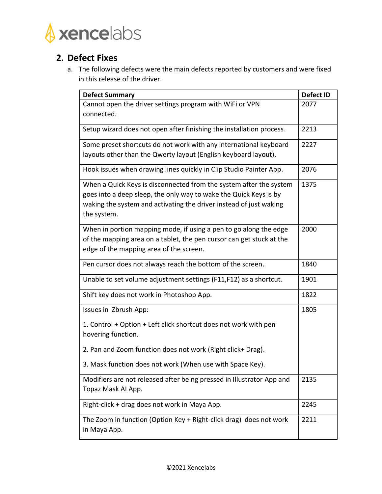

## **2. Defect Fixes**

a. The following defects were the main defects reported by customers and were fixed in this release of the driver.

| <b>Defect Summary</b>                                                             | <b>Defect ID</b> |
|-----------------------------------------------------------------------------------|------------------|
| Cannot open the driver settings program with WiFi or VPN                          | 2077             |
| connected.                                                                        |                  |
| Setup wizard does not open after finishing the installation process.              | 2213             |
| Some preset shortcuts do not work with any international keyboard                 | 2227             |
| layouts other than the Qwerty layout (English keyboard layout).                   |                  |
| Hook issues when drawing lines quickly in Clip Studio Painter App.                | 2076             |
| When a Quick Keys is disconnected from the system after the system                | 1375             |
| goes into a deep sleep, the only way to wake the Quick Keys is by                 |                  |
| waking the system and activating the driver instead of just waking<br>the system. |                  |
| When in portion mapping mode, if using a pen to go along the edge                 | 2000             |
| of the mapping area on a tablet, the pen cursor can get stuck at the              |                  |
| edge of the mapping area of the screen.                                           |                  |
| Pen cursor does not always reach the bottom of the screen.                        | 1840             |
| Unable to set volume adjustment settings (F11,F12) as a shortcut.                 | 1901             |
| Shift key does not work in Photoshop App.                                         | 1822             |
| Issues in Zbrush App:                                                             | 1805             |
| 1. Control + Option + Left click shortcut does not work with pen                  |                  |
| hovering function.                                                                |                  |
| 2. Pan and Zoom function does not work (Right click+ Drag).                       |                  |
| 3. Mask function does not work (When use with Space Key).                         |                  |
| Modifiers are not released after being pressed in Illustrator App and             | 2135             |
| Topaz Mask Al App.                                                                |                  |
| Right-click + drag does not work in Maya App.                                     | 2245             |
| The Zoom in function (Option Key + Right-click drag) does not work                | 2211             |
| in Maya App.                                                                      |                  |